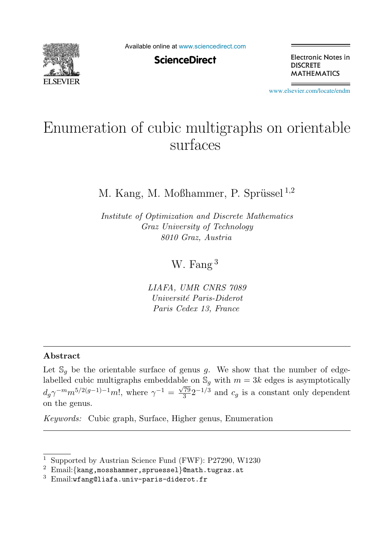

Available online at [www.sciencedirect.com](http://www.sciencedirect.com)

**ScienceDirect** 

Electronic Notes in **DISCRETE MATHEMATICS** 

[www.elsevier.com/locate/endm](http://www.elsevier.com/locate/endm)

# Enumeration of cubic multigraphs on orientable<br>surfaces

## M. Kang, M. Moßhammer, P. Sprüssel $^{1,2}$

*Institute of Optimization and Discrete Mathematics Graz University of Technology 8010 Graz, Austria*

W. Fang<sup>3</sup>

*LIAFA, UMR CNRS 7089 Universit´e Paris-Diderot Paris Cedex 13, France*

### **Abstract**

Let  $\mathbb{S}_q$  be the orientable surface of genus g. We show that the number of edgelabelled cubic multigraphs embeddable on  $\mathbb{S}_q$  with  $m = 3k$  edges is asymptotically  $d_g\gamma^{-m}m^{5/2(g-1)-1}m!$ , where  $\gamma^{-1}=\frac{\sqrt{79}}{3}2^{-1/3}$  and  $c_g$  is a constant only dependent on the genus.

*Keywords:* Cubic graph, Surface, Higher genus, Enumeration

<sup>1</sup> Supported by Austrian Science Fund (FWF): P27290, W1230

 $2$  Email: {kang, mosshammer, spruessel}@math.tugraz.at

 $3$  Email:wfang@liafa.univ-paris-diderot.fr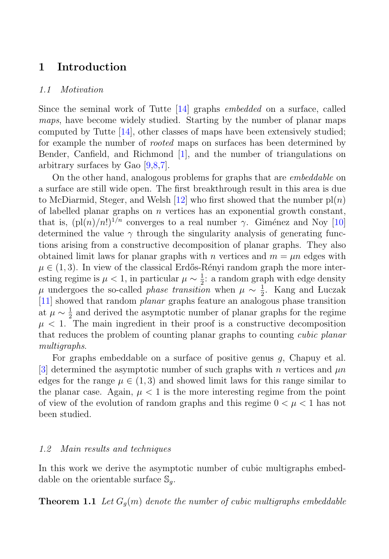## **1 Introduction**

#### 1.1 Motivation

Since the seminal work of Tutte [14] graphs embedded on a surface, called maps, have become widely studied. Starting by the number of planar maps computed by Tutte [14], other classes of maps have been extensively studied; for example the number of rooted maps on surfaces has been determined by Bender, Canfield, and Richmond [1], and the number of triangulations on arbitrary surfaces by Gao [9,8,7].

On the other hand, analogous problems for graphs that are embeddable on a surface are still wide open. The first breakthrough result in this area is due to McDiarmid, Steger, and Welsh [12] who first showed that the number  $p(n)$ of labelled planar graphs on  $n$  vertices has an exponential growth constant, that is,  $(p(n)/n!)^{1/n}$  converges to a real number  $\gamma$ . Giménez and Noy [10] determined the value  $\gamma$  through the singularity analysis of generating functions arising from a constructive decomposition of planar graphs. They also obtained limit laws for planar graphs with n vertices and  $m = \mu n$  edges with  $\mu \in (1, 3)$ . In view of the classical Erdős-Rényi random graph the more interesting regime is  $\mu < 1$ , in particular  $\mu \sim \frac{1}{2}$ : a random graph with edge density  $\mu$  undergoes the so-called *phase transition* when  $\mu \sim \frac{1}{2}$ . Kang and Luczak [11] showed that random planar graphs feature an analogous phase transition at  $\mu \sim \frac{1}{2}$  and derived the asymptotic number of planar graphs for the regime  $\mu$  < 1. The main ingredient in their proof is a constructive decomposition that reduces the problem of counting planar graphs to counting cubic planar multigraphs.

For graphs embeddable on a surface of positive genus g, Chapuy et al. [3] determined the asymptotic number of such graphs with n vertices and  $\mu n$ edges for the range  $\mu \in (1,3)$  and showed limit laws for this range similar to the planar case. Again,  $\mu < 1$  is the more interesting regime from the point of view of the evolution of random graphs and this regime  $0 < \mu < 1$  has not been studied.

#### 1.2 Main results and techniques

In this work we derive the asymptotic number of cubic multigraphs embeddable on the orientable surface  $\mathbb{S}_q$ .

**Theorem 1.1** Let  $G_g(m)$  denote the number of cubic multigraphs embeddable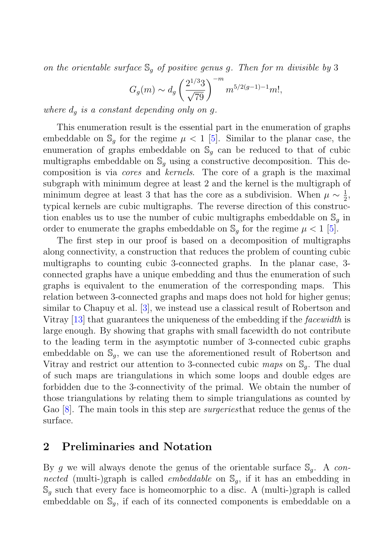on the orientable surface  $\mathcal{S}_q$  of positive genus g. Then for m divisible by 3

$$
G_g(m) \sim d_g \left(\frac{2^{1/3}3}{\sqrt{79}}\right)^{-m} m^{5/2(g-1)-1} m!,
$$

where  $d_g$  is a constant depending only on g.

This enumeration result is the essential part in the enumeration of graphs embeddable on  $\mathbb{S}_q$  for the regime  $\mu < 1$  [5]. Similar to the planar case, the enumeration of graphs embeddable on  $\mathcal{S}_q$  can be reduced to that of cubic multigraphs embeddable on  $\mathbb{S}_q$  using a constructive decomposition. This decomposition is via cores and kernels. The core of a graph is the maximal subgraph with minimum degree at least 2 and the kernel is the multigraph of minimum degree at least 3 that has the core as a subdivision. When  $\mu \sim \frac{1}{2}$ , typical kernels are cubic multigraphs. The reverse direction of this construction enables us to use the number of cubic multigraphs embeddable on  $\mathbb{S}_q$  in order to enumerate the graphs embeddable on  $\mathcal{S}_q$  for the regime  $\mu < 1$  [5].

The first step in our proof is based on a decomposition of multigraphs along connectivity, a construction that reduces the problem of counting cubic multigraphs to counting cubic 3-connected graphs. In the planar case, 3 connected graphs have a unique embedding and thus the enumeration of such graphs is equivalent to the enumeration of the corresponding maps. This relation between 3-connected graphs and maps does not hold for higher genus; similar to Chapuy et al. [3], we instead use a classical result of Robertson and Vitray [13] that guarantees the uniqueness of the embedding if the facewidth is large enough. By showing that graphs with small facewidth do not contribute to the leading term in the asymptotic number of 3-connected cubic graphs embeddable on  $\mathbb{S}_q$ , we can use the aforementioned result of Robertson and Vitray and restrict our attention to 3-connected cubic maps on  $\mathbb{S}_q$ . The dual of such maps are triangulations in which some loops and double edges are forbidden due to the 3-connectivity of the primal. We obtain the number of those triangulations by relating them to simple triangulations as counted by Gao [8]. The main tools in this step are *surgeries* that reduce the genus of the surface.

## **2 Preliminaries and Notation**

By g we will always denote the genus of the orientable surface  $\mathbb{S}_q$ . A connected (multi-)graph is called *embeddable* on  $\mathbb{S}_q$ , if it has an embedding in  $\mathbb{S}_g$  such that every face is homeomorphic to a disc. A (multi-)graph is called embeddable on  $\mathbb{S}_q$ , if each of its connected components is embeddable on a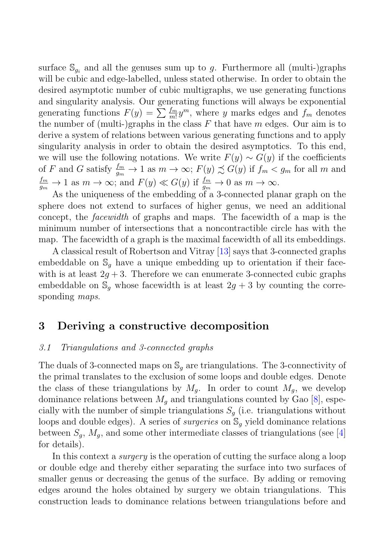surface  $\mathbb{S}_{q_i}$  and all the genuses sum up to g. Furthermore all (multi-)graphs will be cubic and edge-labelled, unless stated otherwise. In order to obtain the desired asymptotic number of cubic multigraphs, we use generating functions and singularity analysis. Our generating functions will always be exponential generating functions  $F(y) = \sum \frac{Im}{m} y^m$ , where y marks edges and  $f_m$  denotes<br>the number of (multi-)graphs in the class F that have m edges. Our aim is to the number of (multi-)graphs in the class  $F$  that have m edges. Our aim is to derive a system of relations between various generating functions and to apply singularity analysis in order to obtain the desired asymptotics. To this end, we will use the following notations. We write  $F(y) \sim G(y)$  if the coefficients of F and G satisfy  $\frac{fm}{g_m} \to 1$  as  $m \to \infty$ ;  $F(y) \precsim G(y)$  if  $f_m < g_m$  for all m and  $\frac{Im}{g_m} \to 1$  as  $m \to \infty$ ; and  $F(y) \ll G(y)$  if  $\frac{Im}{g_m} \to 0$  as  $m \to \infty$ .

As the uniqueness of the embedding of a 3-connected planar graph on the sphere does not extend to surfaces of higher genus, we need an additional concept, the facewidth of graphs and maps. The facewidth of a map is the minimum number of intersections that a noncontractible circle has with the map. The facewidth of a graph is the maximal facewidth of all its embeddings.

A classical result of Robertson and Vitray [13] says that 3-connected graphs embeddable on  $\mathbb{S}_q$  have a unique embedding up to orientation if their facewith is at least  $2g + 3$ . Therefore we can enumerate 3-connected cubic graphs embeddable on  $\mathbb{S}_q$  whose facewidth is at least  $2g + 3$  by counting the corresponding *maps*.

## **3 Deriving a constructive decomposition**

#### 3.1 Triangulations and 3-connected graphs

The duals of 3-connected maps on  $\mathbb{S}_q$  are triangulations. The 3-connectivity of the primal translates to the exclusion of some loops and double edges. Denote the class of these triangulations by  $M_q$ . In order to count  $M_q$ , we develop dominance relations between  $M_q$  and triangulations counted by Gao [8], especially with the number of simple triangulations  $S<sub>g</sub>$  (i.e. triangulations without loops and double edges). A series of *surgeries* on  $\mathbb{S}_q$  yield dominance relations between  $S_g$ ,  $M_g$ , and some other intermediate classes of triangulations (see [4] for details).

In this context a surgery is the operation of cutting the surface along a loop or double edge and thereby either separating the surface into two surfaces of smaller genus or decreasing the genus of the surface. By adding or removing edges around the holes obtained by surgery we obtain triangulations. This construction leads to dominance relations between triangulations before and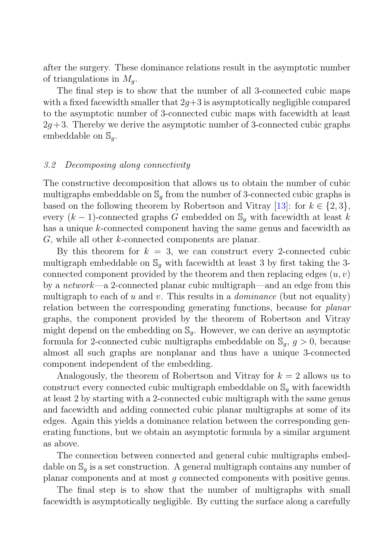after the surgery. These dominance relations result in the asymptotic number of triangulations in  $M_a$ .

The final step is to show that the number of all 3-connected cubic maps with a fixed facewidth smaller that  $2q+3$  is asymptotically negligible compared to the asymptotic number of 3-connected cubic maps with facewidth at least  $2q+3$ . Thereby we derive the asymptotic number of 3-connected cubic graphs embeddable on  $\mathbb{S}_q$ .

#### 3.2 Decomposing along connectivity

The constructive decomposition that allows us to obtain the number of cubic multigraphs embeddable on  $\mathcal{S}_q$  from the number of 3-connected cubic graphs is based on the following theorem by Robertson and Vitray [13]: for  $k \in \{2,3\}$ , every  $(k-1)$ -connected graphs G embedded on  $\mathcal{S}_q$  with facewidth at least k has a unique k-connected component having the same genus and facewidth as G, while all other k-connected components are planar.

By this theorem for  $k = 3$ , we can construct every 2-connected cubic multigraph embeddable on  $\mathbb{S}_q$  with facewidth at least 3 by first taking the 3connected component provided by the theorem and then replacing edges  $(u, v)$ by a network—a 2-connected planar cubic multigraph—and an edge from this multigraph to each of u and v. This results in a *dominance* (but not equality) relation between the corresponding generating functions, because for planar graphs, the component provided by the theorem of Robertson and Vitray might depend on the embedding on  $\mathbb{S}_q$ . However, we can derive an asymptotic formula for 2-connected cubic multigraphs embeddable on  $\mathcal{S}_q$ ,  $q > 0$ , because almost all such graphs are nonplanar and thus have a unique 3-connected component independent of the embedding.

Analogously, the theorem of Robertson and Vitray for  $k = 2$  allows us to construct every connected cubic multigraph embeddable on  $\mathbb{S}_q$  with facewidth at least 2 by starting with a 2-connected cubic multigraph with the same genus and facewidth and adding connected cubic planar multigraphs at some of its edges. Again this yields a dominance relation between the corresponding generating functions, but we obtain an asymptotic formula by a similar argument as above.

The connection between connected and general cubic multigraphs embeddable on  $\mathbb{S}_q$  is a set construction. A general multigraph contains any number of planar components and at most g connected components with positive genus.

The final step is to show that the number of multigraphs with small facewidth is asymptotically negligible. By cutting the surface along a carefully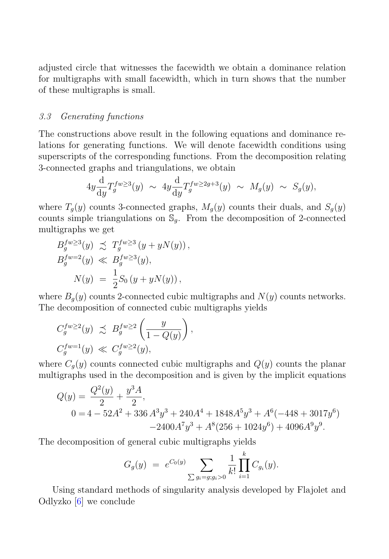adjusted circle that witnesses the facewidth we obtain a dominance relation for multigraphs with small facewidth, which in turn shows that the number of these multigraphs is small.

#### 3.3 Generating functions

The constructions above result in the following equations and dominance relations for generating functions. We will denote facewidth conditions using superscripts of the corresponding functions. From the decomposition relating 3-connected graphs and triangulations, we obtain

$$
4y \frac{\mathrm{d}}{\mathrm{d}y} T_g^{fw \ge 3}(y) \sim 4y \frac{\mathrm{d}}{\mathrm{d}y} T_g^{fw \ge 2g+3}(y) \sim M_g(y) \sim S_g(y),
$$

where  $T_g(y)$  counts 3-connected graphs,  $M_g(y)$  counts their duals, and  $S_g(y)$ counts simple triangulations on  $\mathbb{S}_q$ . From the decomposition of 2-connected multigraphs we get

$$
B_g^{fw\geq 3}(y) \precsim T_g^{fw\geq 3}(y + yN(y)),
$$
  
\n
$$
B_g^{fw=2}(y) \ll B_g^{fw\geq 3}(y),
$$
  
\n
$$
N(y) = \frac{1}{2}S_0(y + yN(y)),
$$

where  $B_q(y)$  counts 2-connected cubic multigraphs and  $N(y)$  counts networks. The decomposition of connected cubic multigraphs yields

$$
C_g^{fw \ge 2}(y) \precsim B_g^{fw \ge 2}\left(\frac{y}{1 - Q(y)}\right),
$$
  

$$
C_g^{fw=1}(y) \ll C_g^{fw \ge 2}(y),
$$

where  $C_g(y)$  counts connected cubic multigraphs and  $Q(y)$  counts the planar multigraphs used in the decomposition and is given by the implicit equations

$$
Q(y) = \frac{Q^2(y)}{2} + \frac{y^3 A}{2},
$$
  
0 = 4 - 52A<sup>2</sup> + 336 A<sup>3</sup>y<sup>3</sup> + 240A<sup>4</sup> + 1848A<sup>5</sup>y<sup>3</sup> + A<sup>6</sup>(-448 + 3017y<sup>6</sup>)  
-2400A<sup>7</sup>y<sup>3</sup> + A<sup>8</sup>(256 + 1024y<sup>6</sup>) + 4096A<sup>9</sup>y<sup>9</sup>.

The decomposition of general cubic multigraphs yields

$$
G_g(y) = e^{C_0(y)} \sum_{\sum g_i = g; g_i > 0} \frac{1}{k!} \prod_{i=1}^k C_{g_i}(y).
$$

Using standard methods of singularity analysis developed by Flajolet and Odlyzko [6] we conclude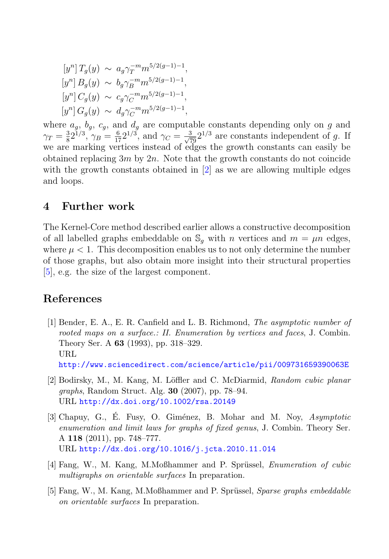$$
[y^n] T_g(y) \sim a_g \gamma_T^{-m} m^{5/2(g-1)-1},
$$
  
\n
$$
[y^n] B_g(y) \sim b_g \gamma_B^{-m} m^{5/2(g-1)-1},
$$
  
\n
$$
[y^n] C_g(y) \sim c_g \gamma_C^{-m} m^{5/2(g-1)-1},
$$
  
\n
$$
[y^n] G_g(y) \sim d_g \gamma_C^{-m} m^{5/2(g-1)-1},
$$

where  $a_g$ ,  $b_g$ ,  $c_g$ , and  $d_g$  are computable constants depending only on g and<br> $a_g$ ,  $a_g$ ,  $a_g$ ,  $a_g$ ,  $a_g$ ,  $a_g$ ,  $a_g$ ,  $a_g$ ,  $a_g$ ,  $a_g$ ,  $a_g$ ,  $a_g$ ,  $a_g$ ,  $a_g$ ,  $a_g$ ,  $a_g$ ,  $a_g$ ,  $a_g$ ,  $a_g$ ,  $a_g$ ,  $a_g$ ,  $a_g$ ,  $a_g$ ,  $\gamma_T = \frac{3}{8} 2^{1/3}$ ,  $\gamma_B = \frac{6}{17} 2^{1/3}$ , and  $\gamma_C = \frac{3}{\sqrt{29}} 2^{1/3}$  are constants independent of g. If we are marking vertices instead of edges the growth constants can easily be obtained replacing  $3m$  by  $2n$ . Note that the growth constants do not coincide with the growth constants obtained in [2] as we are allowing multiple edges and loops.

## **4 Further work**

The Kernel-Core method described earlier allows a constructive decomposition of all labelled graphs embeddable on  $\mathbb{S}_q$  with n vertices and  $m = \mu n$  edges, where  $\mu < 1$ . This decomposition enables us to not only determine the number of those graphs, but also obtain more insight into their structural properties [5], e.g. the size of the largest component.

### **References**

- [1] Bender, E. A., E. R. Canfield and L. B. Richmond, *The asymptotic number of rooted maps on a surface.: II. Enumeration by vertices and faces*, J. Combin. Theory Ser. A **63** (1993), pp. 318–329. URL http://www.sciencedirect.com/science/article/pii/009731659390063E
- [2] Bodirsky, M., M. Kang, M. L¨offler and C. McDiarmid, *Random cubic planar graphs*, Random Struct. Alg. **30** (2007), pp. 78–94. URL http://dx.doi.org/10.1002/rsa.20149
- [3] Chapuy, G., É. Fusy, O. Giménez, B. Mohar and M. Noy, *Asymptotic enumeration and limit laws for graphs of fixed genus*, J. Combin. Theory Ser. A **118** (2011), pp. 748–777. URL http://dx.doi.org/10.1016/j.jcta.2010.11.014
- [4] Fang, W., M. Kang, M.Moßhammer and P. Sprüssel, *Enumeration of cubic multigraphs on orientable surfaces* In preparation.
- [5] Fang, W., M. Kang, M.Moßhammer and P. Sprüssel, *Sparse graphs embeddable on orientable surfaces* In preparation.